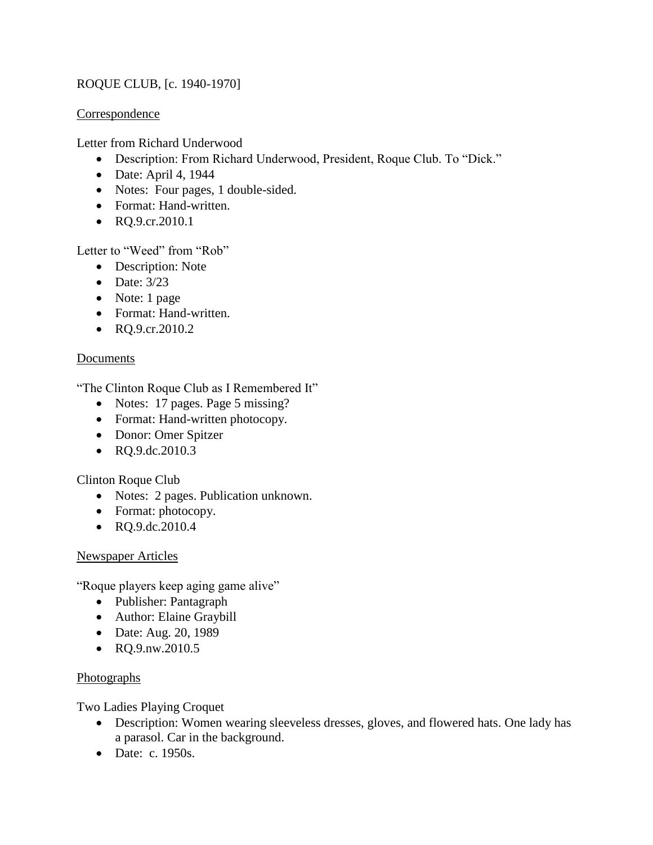# ROQUE CLUB, [c. 1940-1970]

#### Correspondence

Letter from Richard Underwood

- Description: From Richard Underwood, President, Roque Club. To "Dick."
- $\bullet$  Date: April 4, 1944
- Notes: Four pages, 1 double-sided.
- Format: Hand-written.
- RQ.9.cr.2010.1

Letter to "Weed" from "Rob"

- Description: Note
- $\bullet$  Date: 3/23
- Note: 1 page
- Format: Hand-written.
- $RQ.9.cr.2010.2$

## Documents

"The Clinton Roque Club as I Remembered It"

- Notes: 17 pages. Page 5 missing?
- Format: Hand-written photocopy.
- Donor: Omer Spitzer
- RQ.9.dc.2010.3

## Clinton Roque Club

- Notes: 2 pages. Publication unknown.
- Format: photocopy.
- RQ.9.dc.2010.4

#### Newspaper Articles

"Roque players keep aging game alive"

- Publisher: Pantagraph
- Author: Elaine Graybill
- Date: Aug. 20, 1989
- RQ.9.nw.2010.5

## Photographs

Two Ladies Playing Croquet

- Description: Women wearing sleeveless dresses, gloves, and flowered hats. One lady has a parasol. Car in the background.
- Date: c. 1950s.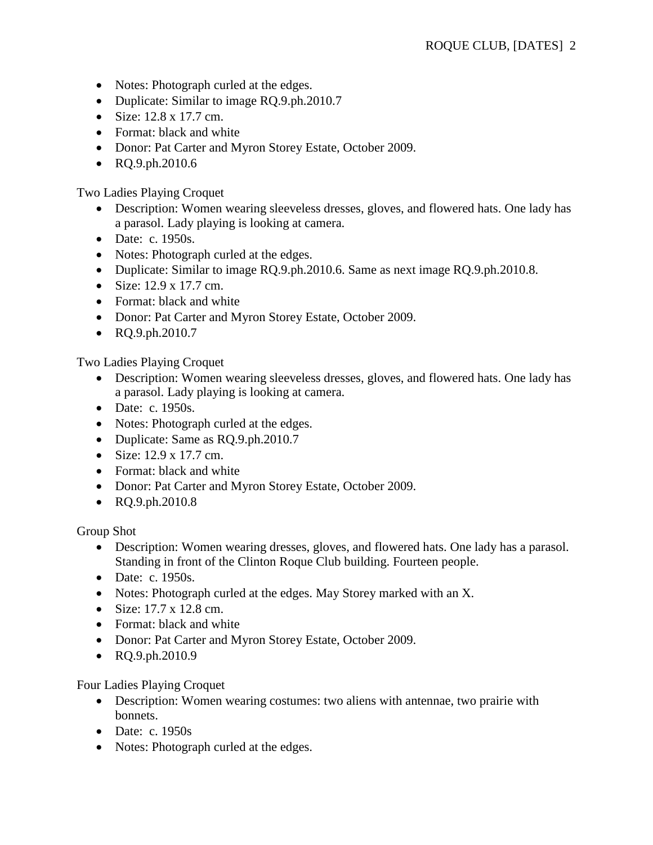- Notes: Photograph curled at the edges.
- Duplicate: Similar to image RQ.9.ph.2010.7
- Size:  $12.8 \times 17.7$  cm.
- Format: black and white
- Donor: Pat Carter and Myron Storey Estate, October 2009.
- RQ.9.ph.2010.6

Two Ladies Playing Croquet

- Description: Women wearing sleeveless dresses, gloves, and flowered hats. One lady has a parasol. Lady playing is looking at camera.
- Date: c. 1950s.
- Notes: Photograph curled at the edges.
- Duplicate: Similar to image RQ.9.ph.2010.6. Same as next image RQ.9.ph.2010.8.
- $\bullet$  Size: 12.9 x 17.7 cm.
- Format: black and white
- Donor: Pat Carter and Myron Storey Estate, October 2009.
- RQ.9.ph.2010.7

Two Ladies Playing Croquet

- Description: Women wearing sleeveless dresses, gloves, and flowered hats. One lady has a parasol. Lady playing is looking at camera.
- Date: c. 1950s.
- Notes: Photograph curled at the edges.
- Duplicate: Same as RQ.9.ph.2010.7
- $\bullet$  Size: 12.9 x 17.7 cm.
- Format: black and white
- Donor: Pat Carter and Myron Storey Estate, October 2009.
- RQ.9.ph.2010.8

Group Shot

- Description: Women wearing dresses, gloves, and flowered hats. One lady has a parasol. Standing in front of the Clinton Roque Club building. Fourteen people.
- Date: c. 1950s.
- Notes: Photograph curled at the edges. May Storey marked with an X.
- Size:  $17.7 \times 12.8$  cm.
- Format: black and white
- Donor: Pat Carter and Myron Storey Estate, October 2009.
- RQ.9.ph.2010.9

Four Ladies Playing Croquet

- Description: Women wearing costumes: two aliens with antennae, two prairie with bonnets.
- Date: c.  $1950s$
- Notes: Photograph curled at the edges.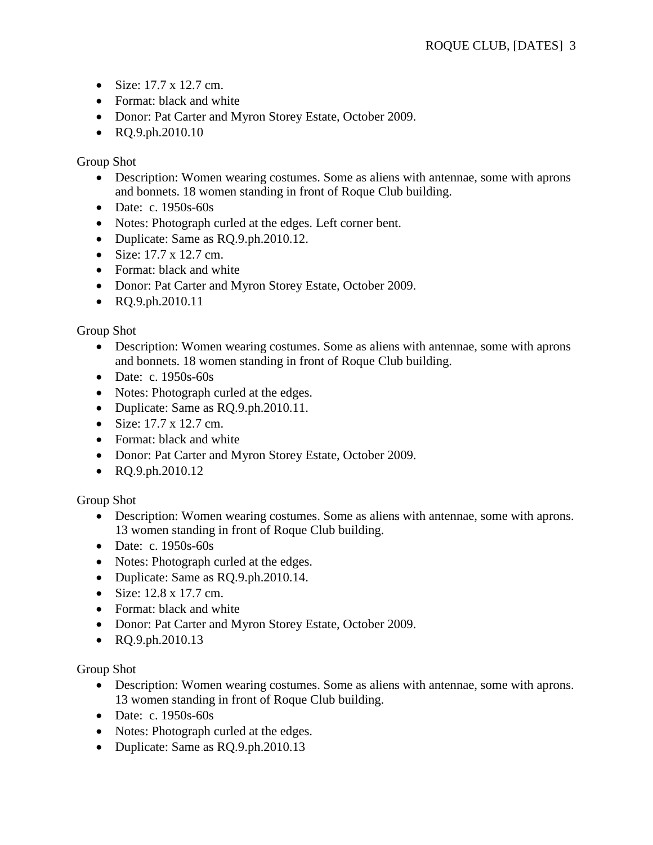- $\bullet$  Size: 17.7 x 12.7 cm.
- Format: black and white
- Donor: Pat Carter and Myron Storey Estate, October 2009.
- $\bullet$  RO.9.ph.2010.10

Group Shot

- Description: Women wearing costumes. Some as aliens with antennae, some with aprons and bonnets. 18 women standing in front of Roque Club building.
- Date: c. 1950s-60s
- Notes: Photograph curled at the edges. Left corner bent.
- Duplicate: Same as RQ.9.ph.2010.12.
- $\bullet$  Size: 17.7 x 12.7 cm.
- Format: black and white
- Donor: Pat Carter and Myron Storey Estate, October 2009.
- RQ.9.ph.2010.11

Group Shot

- Description: Women wearing costumes. Some as aliens with antennae, some with aprons and bonnets. 18 women standing in front of Roque Club building.
- $\bullet$  Date: c. 1950s-60s
- Notes: Photograph curled at the edges.
- Duplicate: Same as RQ.9.ph.2010.11.
- $\bullet$  Size: 17.7 x 12.7 cm.
- Format: black and white
- Donor: Pat Carter and Myron Storey Estate, October 2009.
- RQ.9.ph.2010.12

Group Shot

- Description: Women wearing costumes. Some as aliens with antennae, some with aprons. 13 women standing in front of Roque Club building.
- Date: c. 1950s-60s
- Notes: Photograph curled at the edges.
- Duplicate: Same as RQ.9.ph.2010.14.
- Size:  $12.8 \times 17.7$  cm.
- Format: black and white
- Donor: Pat Carter and Myron Storey Estate, October 2009.
- RQ.9.ph.2010.13

Group Shot

- Description: Women wearing costumes. Some as aliens with antennae, some with aprons. 13 women standing in front of Roque Club building.
- Date: c. 1950s-60s
- Notes: Photograph curled at the edges.
- Duplicate: Same as RQ.9.ph.2010.13